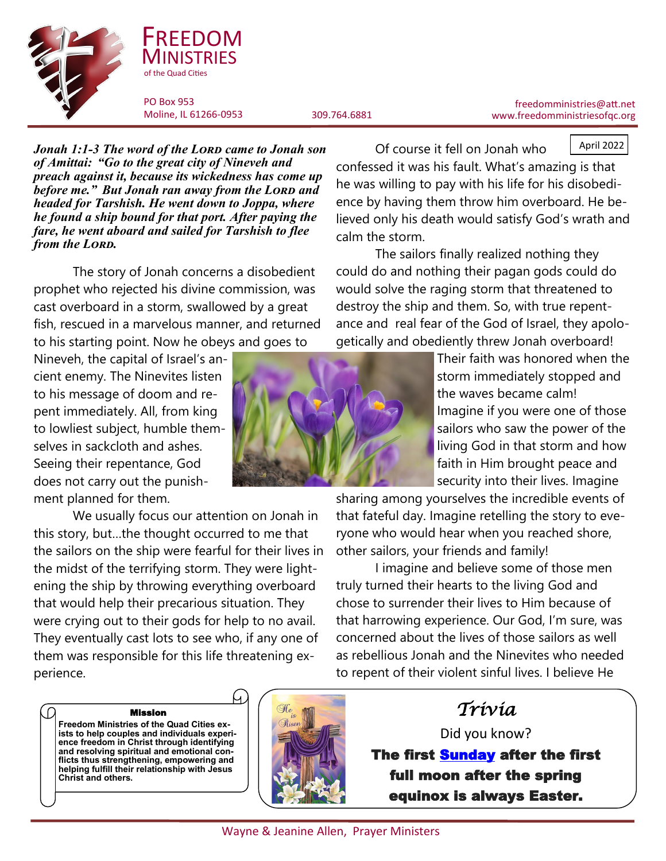



FREEDOM

*Jonah 1:1-3 The word of the Lord came to Jonah son of Amittai: "Go to the great city of Nineveh and preach against it, because its wickedness has come up before me.*" But Jonah ran away from the LORD and *headed for Tarshish. He went down to Joppa, where he found a ship bound for that port. After paying the fare, he went aboard and sailed for Tarshish to flee*  from the LORD.

The story of Jonah concerns a disobedient prophet who rejected his divine commission, was cast overboard in a storm, swallowed by a great fish, rescued in a marvelous manner, and returned to his starting point. Now he obeys and goes to

Nineveh, the capital of Israel's ancient enemy. The Ninevites listen to his message of doom and repent immediately. All, from king to lowliest subject, humble themselves in sackcloth and ashes. Seeing their repentance, God does not carry out the punishment planned for them.

We usually focus our attention on Jonah in this story, but…the thought occurred to me that the sailors on the ship were fearful for their lives in the midst of the terrifying storm. They were lightening the ship by throwing everything overboard that would help their precarious situation. They were crying out to their gods for help to no avail. They eventually cast lots to see who, if any one of them was responsible for this life threatening experience.

freedomministries@att.net www.freedomministriesofqc.org

April 2022

Of course it fell on Jonah who confessed it was his fault. What's amazing is that he was willing to pay with his life for his disobedience by having them throw him overboard. He believed only his death would satisfy God's wrath and calm the storm.

The sailors finally realized nothing they could do and nothing their pagan gods could do would solve the raging storm that threatened to destroy the ship and them. So, with true repentance and real fear of the God of Israel, they apologetically and obediently threw Jonah overboard!

> Their faith was honored when the storm immediately stopped and the waves became calm! Imagine if you were one of those sailors who saw the power of the living God in that storm and how faith in Him brought peace and security into their lives. Imagine

sharing among yourselves the incredible events of that fateful day. Imagine retelling the story to everyone who would hear when you reached shore, other sailors, your friends and family!

I imagine and believe some of those men truly turned their hearts to the living God and chose to surrender their lives to Him because of that harrowing experience. Our God, I'm sure, was concerned about the lives of those sailors as well as rebellious Jonah and the Ninevites who needed to repent of their violent sinful lives. I believe He

Mission **Freedom Ministries of the Quad Cities exists to help couples and individuals experience freedom in Christ through identifying and resolving spiritual and emotional conflicts thus strengthening, empowering and helping fulfill their relationship with Jesus Christ and others.**



*Trivia* 

Did you know? The first [Sunday](https://funfactoday.com/interesting-facts/fun-facts-about-sunday/) after the first full moon after the spring equinox is always Easter.